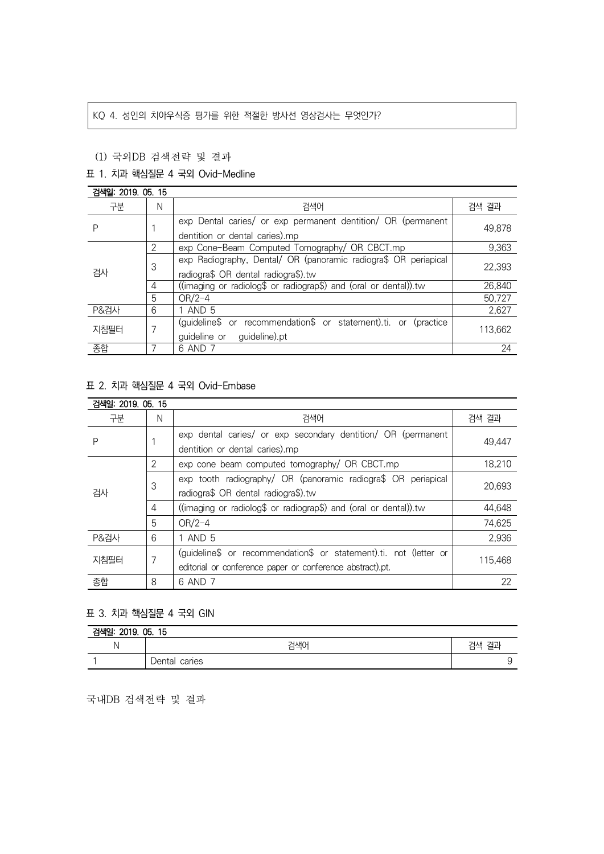# KQ 4. 성인의 치아우식증 평가를 위한 적절한 방사선 영상검사는 무엇인가?

### (1) 국외DB 검색전략 및 결과

## 표 1. 치과 핵심질문 4 국외 Ovid-Medline

#### 검색일: 2019. 05. 15 구분 N 검색어 검색 결과 P | 1 exp Dental caries/ or exp permanent dentition/ OR (permanent dentition or dental caries).mp 49,878 검사 2 exp Cone-Beam Computed Tomography/ OR CBCT.mp 9,363 3 exp Radiography, Dental/ OR (panoramic radiogra\$ OR periapical radiogra\$ OR dental radiogra\$).tw 22,393 4 ((imaging or radiolog\$ or radiograp\$) and (oral or dental)).tw 26,840 5 OR/2-4 50,727 P&검사 6 1 AND 5 2,627 지침필터 7 (guideline\$ or recommendation\$ or statement).ti. or (practice guideline or guideline).pt 113,662 종합 - The Total AND 7 24 - The Total Andrew Present Andrew Present Andrew Present Andrew Present Andrew Present

## 표 2. 치과 핵심질문 4 국외 Ovid-Embase

| 검색일: 2019. 05. 15 |   |                                                                                                                                |         |  |  |
|-------------------|---|--------------------------------------------------------------------------------------------------------------------------------|---------|--|--|
| 구분                | N | 검색어                                                                                                                            | 검색 결과   |  |  |
| Ρ                 |   | exp dental caries/ or exp secondary dentition/ OR (permanent<br>dentition or dental caries).mp                                 | 49,447  |  |  |
| 검사                | 2 | exp cone beam computed tomography/ OR CBCT.mp                                                                                  | 18,210  |  |  |
|                   | 3 | exp tooth radiography/ OR (panoramic radiogra\$ OR periapical<br>radiogra\$ OR dental radiogra\$).tw                           | 20.693  |  |  |
|                   | 4 | ((imaging or radiolog\$ or radiograp\$) and (oral or dental)).tw                                                               | 44,648  |  |  |
|                   | 5 | $OR/2-4$                                                                                                                       | 74,625  |  |  |
| <b>P&amp;검사</b>   | 6 | 1 AND 5                                                                                                                        | 2,936   |  |  |
| 지침필터              | 7 | (quideline\$ or recommendation\$ or statement).ti. not (letter or<br>editorial or conference paper or conference abstract).pt. | 115.468 |  |  |
| 종합                | 8 | 6 AND 7                                                                                                                        | 22      |  |  |

## 표 3. 치과 핵심질문 4 국외 GIN

| 검색일: 2019. 05. 15 |                  |          |  |  |  |
|-------------------|------------------|----------|--|--|--|
|                   | 검색0              | 결과<br>검색 |  |  |  |
|                   | caries<br>Dental |          |  |  |  |

국내DB 검색전략 및 결과